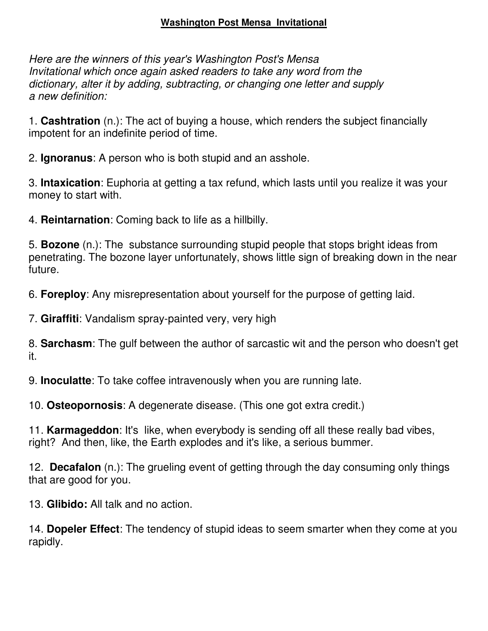## **Washington Post Mensa Invitational**

*Here are the winners of this year's Washington Post's Mensa Invitational which once again asked readers to take any word from the dictionary, alter it by adding, subtracting, or changing one letter and supply a new definition:*

1. **Cashtration** (n.): The act of buying a house, which renders the subject financially impotent for an indefinite period of time.

2. **Ignoranus**: A person who is both stupid and an asshole.

3. **Intaxication**: Euphoria at getting a tax refund, which lasts until you realize it was your money to start with.

4. **Reintarnation**: Coming back to life as a hillbilly.

5. **Bozone** (n.): The substance surrounding stupid people that stops bright ideas from penetrating. The bozone layer unfortunately, shows little sign of breaking down in the near future.

6. **Foreploy**: Any misrepresentation about yourself for the purpose of getting laid.

7. **Giraffiti**: Vandalism spray-painted very, very high

8. **Sarchasm**: The gulf between the author of sarcastic wit and the person who doesn't get it.

9. **Inoculatte**: To take coffee intravenously when you are running late.

10. **Osteopornosis**: A degenerate disease. (This one got extra credit.)

11. **Karmageddon**: It's like, when everybody is sending off all these really bad vibes, right? And then, like, the Earth explodes and it's like, a serious bummer.

12. **Decafalon** (n.): The grueling event of getting through the day consuming only things that are good for you.

13. **Glibido:** All talk and no action.

14. **Dopeler Effect**: The tendency of stupid ideas to seem smarter when they come at you rapidly.